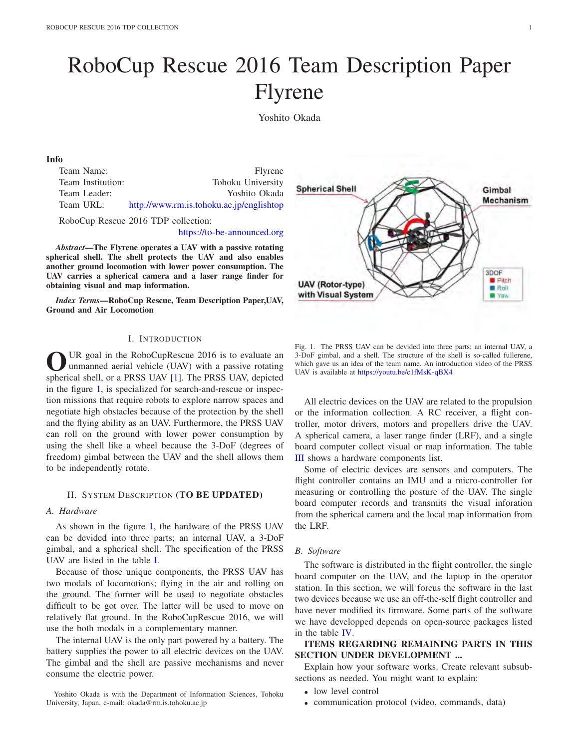# RoboCup Rescue 2016 Team Description Paper Flyrene

Yoshito Okada

#### Info

| Team Name:        | <b>Flyrene</b>                           |
|-------------------|------------------------------------------|
| Team Institution: | Tohoku University                        |
| Team Leader:      | Yoshito Okada                            |
| Team URL:         | http://www.rm.is.tohoku.ac.jp/englishtop |

RoboCup Rescue 2016 TDP collection:

https://to-be-announced.org

*Abstract*—The Flyrene operates a UAV with a passive rotating spherical shell. The shell protects the UAV and also enables another ground locomotion with lower power consumption. The UAV carries a spherical camera and a laser range finder for obtaining visual and map information.

*Index Terms*—RoboCup Rescue, Team Description Paper,UAV, Ground and Air Locomotion

### I. INTRODUCTION

UR goal in the RoboCupRescue 2016 is to evaluate an unmanned aerial vehicle (UAV) with a passive rotating spherical shell, or a PRSS UAV [1]. The PRSS UAV, depicted in the figure 1, is specialized for search-and-rescue or inspection missions that require robots to explore narrow spaces and negotiate high obstacles because of the protection by the shell and the flying ability as an UAV. Furthermore, the PRSS UAV can roll on the ground with lower power consumption by using the shell like a wheel because the 3-DoF (degrees of freedom) gimbal between the UAV and the shell allows them to be independently rotate.

## II. SYSTEM DESCRIPTION (TO BE UPDATED)

#### *A. Hardware*

As shown in the figure 1, the hardware of the PRSS UAV can be devided into three parts; an internal UAV, a 3-DoF gimbal, and a spherical shell. The specification of the PRSS UAV are listed in the table I.

Because of those unique components, the PRSS UAV has two modals of locomotions; flying in the air and rolling on the ground. The former will be used to negotiate obstacles difficult to be got over. The latter will be used to move on relatively flat ground. In the RoboCupRescue 2016, we will use the both modals in a complementary manner.

The internal UAV is the only part powered by a battery. The battery supplies the power to all electric devices on the UAV. The gimbal and the shell are passive mechanisms and never consume the electric power.

Yoshito Okada is with the Department of Information Sciences, Tohoku University, Japan, e-mail: okada@rm.is.tohoku.ac.jp



Fig. 1. The PRSS UAV can be devided into three parts; an internal UAV, a 3-DoF gimbal, and a shell. The structure of the shell is so-called fullerene, which gave us an idea of the team name. An introduction video of the PRSS UAV is available at https://youtu.be/c1fMsK-qBX4

All electric devices on the UAV are related to the propulsion or the information collection. A RC receiver, a flight controller, motor drivers, motors and propellers drive the UAV. A spherical camera, a laser range finder (LRF), and a single board computer collect visual or map information. The table III shows a hardware components list.

Some of electric devices are sensors and computers. The flight controller contains an IMU and a micro-controller for measuring or controlling the posture of the UAV. The single board computer records and transmits the visual inforation from the spherical camera and the local map information from the LRF.

#### *B. Software*

The software is distributed in the flight controller, the single board computer on the UAV, and the laptop in the operator station. In this section, we will forcus the software in the last two devices because we use an off-the-self flight controller and have never modified its firmware. Some parts of the software we have developped depends on open-source packages listed in the table IV.

# ITEMS REGARDING REMAINING PARTS IN THIS SECTION UNDER DEVELOPMENT ...

Explain how your software works. Create relevant subsubsections as needed. You might want to explain:

- low level control
- communication protocol (video, commands, data)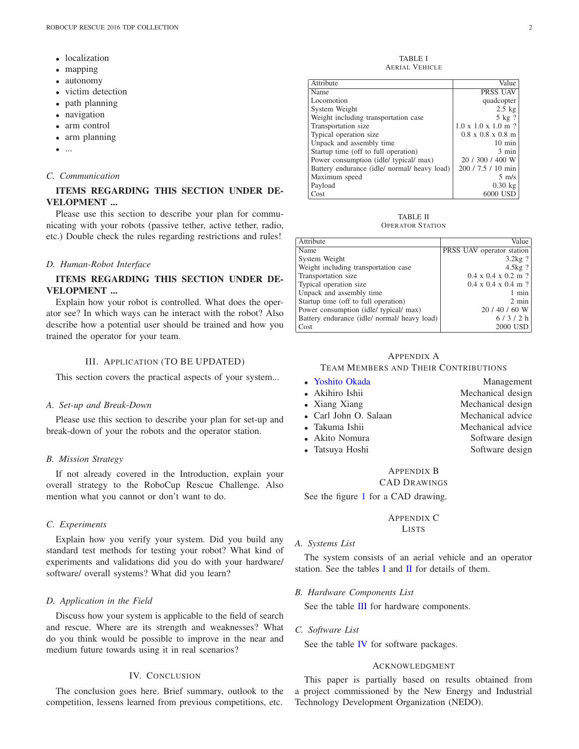- localization
- mapping
- autonomy
- victim detection
- path planning
- navigation
- arm control
- arm planning
- ...

## *C. Communication*

# ITEMS REGARDING THIS SECTION UNDER DE-VELOPMENT ...

Please use this section to describe your plan for communicating with your robots (passive tether, active tether, radio, etc.) Double check the rules regarding restrictions and rules!

## *D. Human-Robot Interface*

# ITEMS REGARDING THIS SECTION UNDER DE-VELOPMENT ...

Explain how your robot is controlled. What does the operator see? In which ways can he interact with the robot? Also describe how a potential user should be trained and how you trained the operator for your team.

#### III. APPLICATION (TO BE UPDATED)

This section covers the practical aspects of your system...

### *A. Set-up and Break-Down*

Please use this section to describe your plan for set-up and break-down of your the robots and the operator station.

#### *B. Mission Strategy*

If not already covered in the Introduction, explain your overall strategy to the RoboCup Rescue Challenge. Also mention what you cannot or don't want to do.

## *C. Experiments*

Explain how you verify your system. Did you build any standard test methods for testing your robot? What kind of experiments and validations did you do with your hardware/ software/ overall systems? What did you learn?

#### *D. Application in the Field*

Discuss how your system is applicable to the field of search and rescue. Where are its strength and weaknesses? What do you think would be possible to improve in the near and medium future towards using it in real scenarios?

## IV. CONCLUSION

The conclusion goes here. Brief summary, outlook to the competition, lessens learned from previous competitions, etc.

TABLE I AERIAL VEHICLE

| Attribute                                    | Value                                   |
|----------------------------------------------|-----------------------------------------|
| Name                                         | PRSS UAV                                |
| Locomotion                                   | quadcopter                              |
| System Weight                                | $2.5$ kg                                |
| Weight including transportation case         | 5 kg ?                                  |
| Transportation size                          | $1.0 \times 1.0 \times 1.0 \text{ m}$ ? |
| Typical operation size                       | $0.8 \times 0.8 \times 0.8 \text{ m}$   |
| Unpack and assembly time                     | $10 \text{ min}$                        |
| Startup time (off to full operation)         | 3 min                                   |
| Power consumption (idle/ typical/ max)       | 20 / 300 / 400 W                        |
| Battery endurance (idle/ normal/ heavy load) | 200 / 7.5 / 10 min                      |
| Maximum speed                                | $5 \text{ m/s}$                         |
| Payload                                      | $0.30$ kg                               |
| Cost                                         | 6000 USD                                |

TABLE II OPERATOR STATION

| Attribute                                    | Value                                   |
|----------------------------------------------|-----------------------------------------|
| Name                                         | PRSS UAV operator station               |
| System Weight                                | $3.2kg$ ?                               |
| Weight including transportation case         | $4.5kg$ ?                               |
| Transportation size                          | $0.4 \times 0.4 \times 0.2 \text{ m}$ ? |
| Typical operation size                       | $0.4 \times 0.4 \times 0.4 \text{ m}$ ? |
| Unpack and assembly time                     | 1 min                                   |
| Startup time (off to full operation)         | $2 \text{ min}$                         |
| Power consumption (idle/ typical/ max)       | $20/40/60$ W                            |
| Battery endurance (idle/ normal/ heavy load) | 6/3/2 h                                 |
| Cost                                         | 2000 USD                                |

## APPENDIX A TEAM MEMBERS AND THEIR CONTRIBUTIONS

| • Yoshito Okada       | Management        |
|-----------------------|-------------------|
| • Akihiro Ishii       | Mechanical design |
| • Xiang Xiang         | Mechanical design |
| • Carl John O. Salaan | Mechanical advice |
| • Takuma Ishii        | Mechanical advice |
| • Akito Nomura        | Software design   |
| • Tatsuya Hoshi       | Software design   |
|                       |                   |

## APPENDIX B CAD DRAWINGS

See the figure 1 for a CAD drawing.

# APPENDIX C

# LISTS

*A. Systems List*

The system consists of an aerial vehicle and an operator station. See the tables I and II for details of them.

## *B. Hardware Components List*

See the table III for hardware components.

*C. Software List*

See the table IV for software packages.

#### ACKNOWLEDGMENT

This paper is partially based on results obtained from a project commissioned by the New Energy and Industrial Technology Development Organization (NEDO).